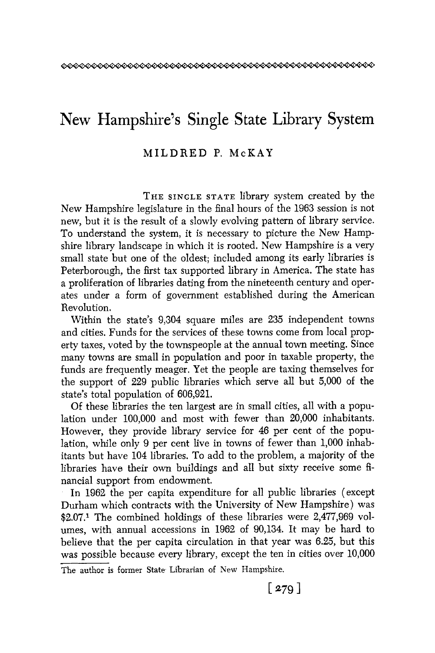## New Hampshire's Single State Library System

## MILDRED P. McKAY

THE SINGLE **STATE** library system created by the New Hampshire legislature in the final hours of the 1963 session is not new, but it is the result of a slowly evolving pattern of library service. To understand the system, it is necessary to picture the New Hampshire library landscape in which it is rooted. New Hampshire is a very small state but one of the oldest; included among its early libraries is Peterborough, the first tax supported library in America. The state has **a** proliferation of libraries dating from the nineteenth century and operates under a form of government established during the American Revolution.

Within the state's 9,304 square miles are 235 independent towns and cities. Funds for the services of these towns come from local property taxes, voted by the townspeople at the annual town meeting. Since many towns are small in population and poor in taxable property, the funds are frequently meager, Yet the people are taxing themselves for the support of 229 public libraries which serve all but 5,000 of the state's total population of 606,921.

Of these libraries the ten largest are in small cities, all with a population under 100,000 and most with fewer than 20,000 inhabitants. However, they provide library service for 46 per cent of the population, while only **9** per cent live in towns of fewer than 1,000 inhabitants but have 104 libraries. To add to the problem, a majority of the libraries have their own buildings and all but sixty receive some financial support from endowment.

In 1962 the per capita expenditure for all public libraries (except Durham which contracts with the University of New Hampshire) was **\$2.07.l** The combined holdings of these libraries were 2,477,969 volumes, with annual accessions in 1962 of 90,134. It may be hard to believe that the per capita circulation in that year was 6.25, but this was possible because every library, except the ten in cities over 10,000

The author **is** former State Librarian of **New** Hampshire.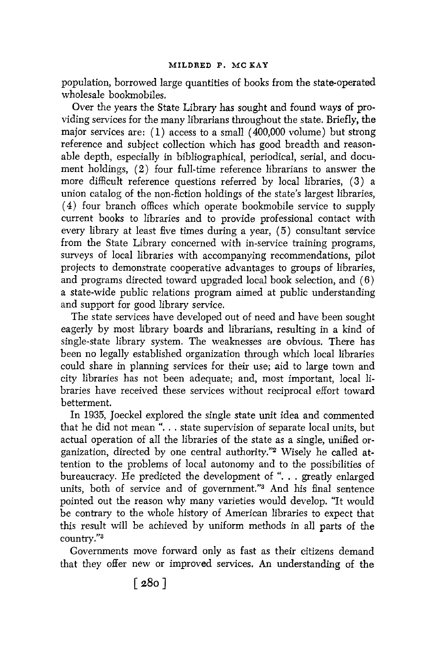population, borrowed large quantities of books from the state-operated wholesale bookmobiles.

Over the years the State Library has sought and found ways of providing services for the many librarians throughout the state. Briefly, **the**  major services are:  $(1)$  access to a small  $(400,000$  volume) but strong reference and subject collection which has good breadth and reasonable depth, especially in bibliographical, periodical, serial, and document holdings, **(2)** four full-time reference librarians to answer the more difficult reference questions referred by local libraries, **(3)** a union catalog of the non-fiction holdings of the state's largest libraries, **(4)**four branch offices which operate bookmobile service to supply current books to libraries and to provide professional contact with every library at least five times during a year, *(5)* consultant service from the State Library concerned with in-service training programs, surveys of local libraries with accompanying recommendations, pilot projects to demonstrate cooperative advantages to groups of libraries, and programs directed toward upgraded local book selection, and (6) a state-wide public relations program aimed at public understanding and support for good library service.

The state services have developed out of need and have been sought eagerly by most library boards and librarians, resulting in a kind of single-state library system. The weaknesses are obvious. There has been no legally established organization through which local libraries could share in planning services for their use; aid to large town and city libraries has not been adequate; and, most important, local libraries have received these services without reciprocal effort toward betterment.

In 1935, Joeckel explored the single state unit idea and commented that he did not mean ". . . state supervision of separate local units, but actual operation of all the libraries of the state as a single, unified organization, directed by one central authority."z Wisely he called attention to the problems of local autonomy and to the possibilities of bureaucracy. He predicted the development of ". . . greatly enlarged units, both of service and of government."<sup>3</sup> And his final sentence pointed out the reason why many varieties would develop. "It would be contrary to the whole history of American libraries to expect that this result will be achieved by uniform methods in all parts of the country."<sup>3</sup>

Governments move forward only as fast as their citizens demand that they offer new or improved services. An understanding of the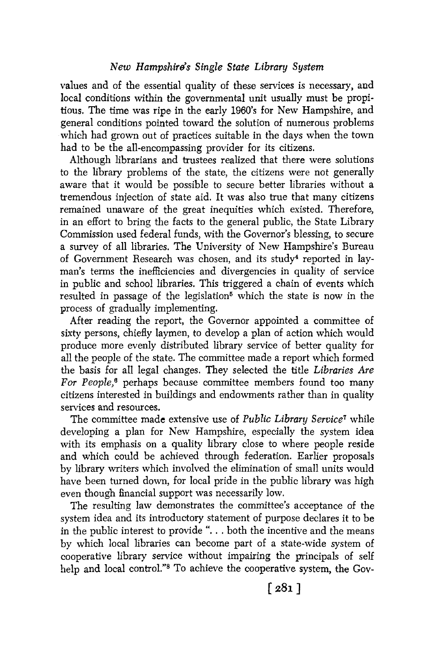values and of the essential quality of these services is necessary, and local conditions within the governmental unit usually must be propitious. The time was ripe in the early 1960's for New Hampshire, and general conditions pointed toward the solution of numerous problems which had grown out of practices suitable in the days when the town had to be the all-encompassing provider for its citizens.

Although librarians and trustees realized that there were solutions to the library problems of the state, the citizens were not generally aware that it would be possible to secure better libraries without a tremendous injection of state aid. It was also true that many citizens remained unaware of the great inequities which existed. Therefore, in an effort to bring the facts to the general public, the State Library Commission used federal funds, with the Governor's blessing, to secure a survey of all libraries. The University of New Hampshire's Bureau of Government Research was chosen, and its study<sup>4</sup> reported in layman's terms the inefficiencies and divergencies in quality of service in public and school libraries. This triggered a chain of events which resulted in passage of the legislation<sup>5</sup> which the state is now in the process of gradually implementing.

After reading the report, the Governor appointed a committee of sixty persons, chiefly laymen, to develop a plan of action which would produce more evenly distributed library service of better quality for all the people of the state. The committee made a report which formed the basis for all legal changes. They selected the title *Libraries Are For People,6* perhaps because committee members found too many citizens interested in buildings and endowments rather than in quality services and resources.

The committee made extensive use of *Public Library Service7* while developing a plan for New Hampshire, especially the system idea with its emphasis on a quality library close to where people reside and which could be achieved through federation. Earlier proposals by library writers which involved the elimination of small units would have been turned down, for local pride in the public library was high even though financial support was necessarily low.

The resulting law demonstrates the committee's acceptance of the system idea and its introductory statement of purpose declares it to be in the public interest to provide ". . . both the incentive and the means by which local libraries can become part of a state-wide system of cooperative library service without impairing the principals of self help and local control."<sup>8</sup> To achieve the cooperative system, the Gov-

r **2.81** 1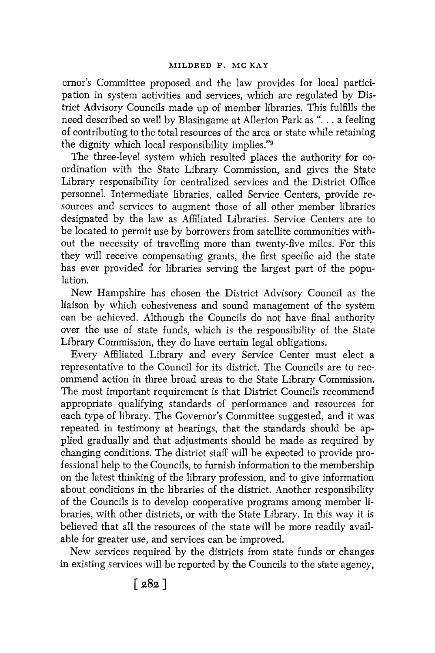ernor's Committee proposed and the law provides for local participation in system activities and services, which are regulated by District Advisory Councils made up of member libraries. This fulfills the need described so well by Blasingame at Allerton Park as "... a feeling of contributing to the total resources of the area or state while retaining the dignity which local responsibility implies."<sup>9</sup>

The three-level system which resulted places the authority for coordination with the State Library Commission, and gives the State Library responsibility for centralized services and the District Office personnel. Intermediate libraries, called Service Centers, provide resources and services to augment those of all other member libraries designated by the law as Affiliated Libraries. Service Centers are to be located to permit use by borrowers from satellite communities without the necessity of travelling more than twenty-five miles. For this they will receive compensating grants, the first specific aid the state has ever provided for libraries serving the largest part of the population.

New Hampshire has chosen the District Advisory Council as the liaison by which cohesiveness and sound management of the system can be achieved. Although the Councils do not have final authority over the use of state funds, which is the responsibility of the State Library Commission, they do have certain legal obligations.

Every Affiliated Library and every Service Center must elect a representative to the Council for its district. The Councils are to recommend action in three broad areas to the State Library Commission. The most important requirement is that District Councils recommend appropriate qualifying standards of performance and resources for each type of library. The Governor's Committee suggested, and it was repeated in testimony at hearings, that the standards should be applied gradually and that adjustments should be made as required by changing conditions. The district staff will be expected to provide professional help to the Councils, to furnish information to the membership on the latest thinking of the library profession, and to give information about conditions in the libraries of the district. Another responsibility of the Councils is to develop cooperative programs among member libraries, with other districts, or with the State Library. In this way it is believed that all the resources of the state will be more readily available for greater use, and services can be improved.

New services required by the districts from state funds or changes in existing services will be reported by the Councils to the state agency,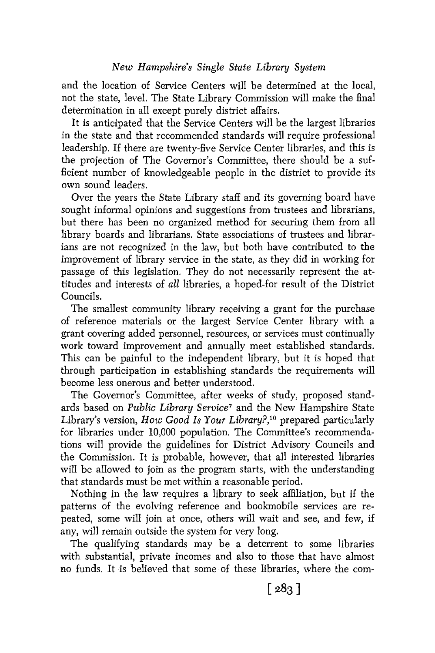## *New Hampshire's Single State Library System*

and the location of Service Centers will be determined at the local, not the state, level. The State Library Commission will make the final determination in all except purely district affairs.

It is anticipated that the Service Centers will be the largest libraries in the state and that recommended standards will require professional leadership. If there are twenty-five Service Center libraries, and this is the projection of The Governor's Committee, there should be a sufficient number of knowledgeable people in the district to provide its own sound leaders.

Over the years the State Library staff and its governing board have sought informal opinions and suggestions from trustees and librarians, but there has been no organized method for securing them from all library boards and librarians. State associations of trustees and librarians are not recognized in the law, but both have contributed to the improvement of library service in the state, as they did in working for passage of this legislation. They do not necessarily represent the attitudes and interests of *all* libraries, a hoped-for result of the District Councils.

The smallest community library receiving a grant for the purchase of reference materials or the largest Service Center library with a grant covering added personnel, resources, or services must continually work toward improvement and annually meet established standards. This can be painful to the independent library, but it is hoped that through participation in establishing standards the requirements will become less onerous and better understood.

The Governor's Committee, after weeks of study, proposed standards based on *Public Library Service7* and the New Hampshire State Library's version, *How Good* Is *Your Library?,lo* prepared particularly for libraries under 10,000 population. The Committee's recommendations will provide the guidelines for District Advisory Councils and the Commission. It is probable, however, that all interested libraries will be allowed to join as the program starts, with the understanding that standards must be met within a reasonable period.

Nothing in the law requires a library to seek affiliation, but if the patterns of the evolving reference and bookmobile services are repeated, some will join at once, others will wait and see, and few, if any, will remain outside the system for very long.

The qualifying standards may be a deterrent to some libraries with substantial, private incomes and also to those that have almost no funds. It is believed that some of these libraries, where the com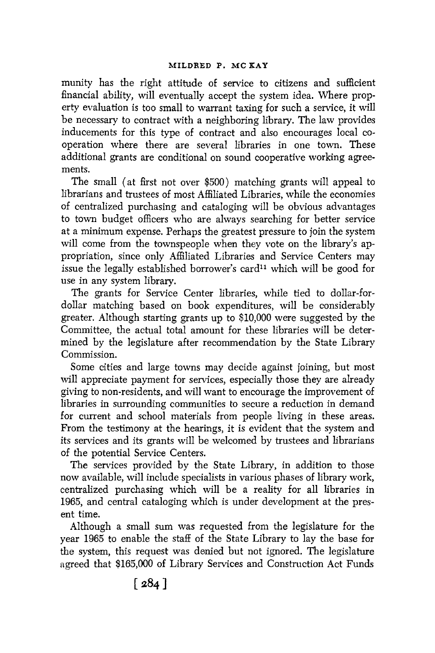munity has the right attitude of service to citizens and sufficient financial ability, will eventually accept the system idea. Where property evaluation is too small to warrant taxing for such a service, it will be necessary to contract with a neighboring library. The law provides inducements for this type of contract and also encourages local cooperation where there are several libraries in one town. These additional grants are conditional on sound cooperative working agreements.

The small (at first not over \$500) matching grants will appeal to librarians and trustees of most Affiliated Libraries, while the economies of centralized purchasing and cataloging will be obvious advantages to town budget officers who are always searching for better service at a minimum expense. Perhaps the greatest pressure to join the system will come from the townspeople when they vote on the library's appropriation, since only Affiliated Libraries and Service Centers may issue the legally established borrower's card<sup>11</sup> which will be good for use in any system library.

The grants for Service Center libraries, while tied to dollar-fordollar matching based on book expenditures, will be considerably greater. Although starting grants up to \$10,000 were suggested by the Committee, the actual total amount for these libraries will be determined by the legislature after recommendation by the State Library Commission.

Some cities and large towns may decide against joining, but most will appreciate payment for services, especially those they are already giving to non-residents, and will want to encourage the improvement of libraries in surrounding communities to secure a reduction in demand for current and school materials from people living in these areas. From the testimony at the hearings, it is evident that the system and its services and its grants will be welcomed by trustees and librarians of the potential Service Centers.

The services provided by the State Library, in addition to those now available, will include specialists in various phases of library work, centralized purchasing which will be a reality for all libraries in 1965, and central cataloging which is under development at the present time.

Although a small sum was requested from the legislature for the year 1965 to enable the staff of the State Library to lay the base for the system, this request was denied but not ignored. The legislature agreed that \$165,000 of Library Services and Construction Act Funds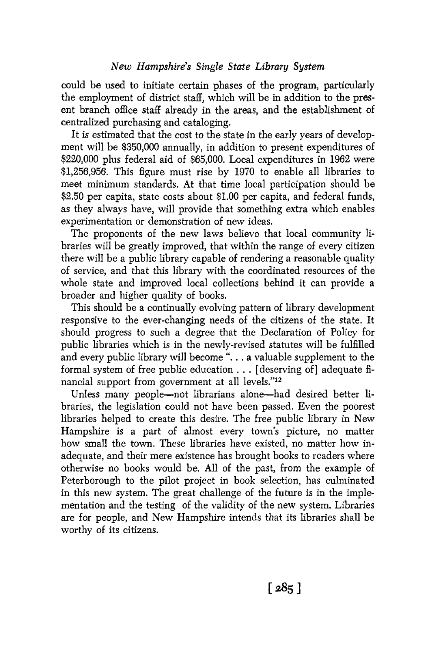could be **used** to initiate certain phases of the program, particularly the employment of district staff, which will be in addition to the present branch office staff already in the areas, and the establishment of centralized purchasing and cataloging.

It is estimated that the cost to the state in the early years of development will be \$350,000 annually, in addition to present expenditures of \$220,000 plus federal aid of \$65,000. Local expenditures in 1962 were \$1,256,956. This figure must rise by 1970 to enable all libraries to meet minimum standards. **At** that time local participation should be \$2.50 per capita, state costs about \$1.00 per capita, and federal funds, as they always have, will provide that something extra which enables experimentation or demonstration of new ideas.

The proponents of the new laws believe that local community libraries will be greatly improved, that within the range of every citizen there will be a public library capable of rendering a reasonable quality of service, and that this library with the coordinated resources of the whole state and improved local collections behind it can provide *a*  broader and higher quality of books.

This should be a continually evolving pattern of library development responsive to the ever-changing needs of the citizens of the state. It should progress to such a degree that the Declaration of Policy for public libraries which is in the newly-revised statutes will be fulfilled and every public library will become ". . . a valuable supplement to the formal system of free public education . . . [deserving of] adequate financial support from government at all levels."12

Unless many people-not librarians alone-had desired better libraries, the legislation could not have been passed. Even the poorest libraries helped to create this desire. The free public library in New Hampshire is a part of almost every town's picture, no matter how small the town. These libraries have existed, no matter how inadequate, and their mere existence has brought books to readers where otherwise no books would be. **All** of the past, from the example of Peterborough to the pilot project in book selection, has culminated in this new system. The great challenge of the future is in the implementation and the testing of the validity of the new system. Libraries are for people, and New Hampshire intends that its libraries shall be worthy of its citizens.